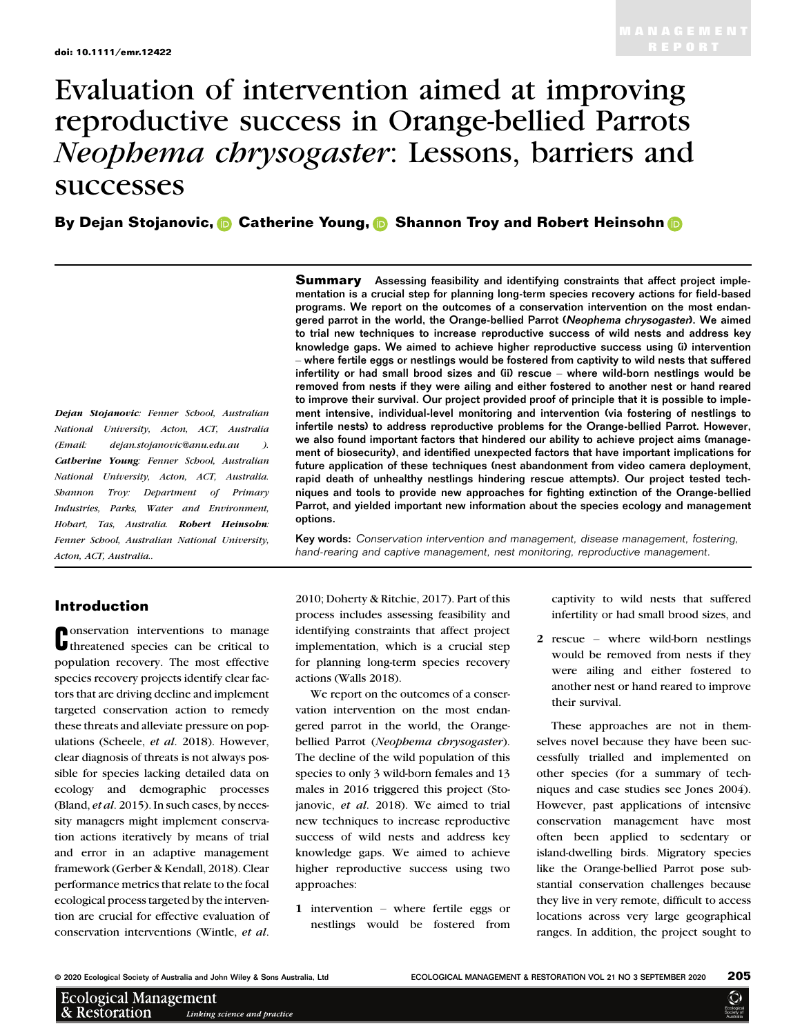# Evaluation of intervention aimed at improving reproductive success in Orange-bellied Parrots Neophema chrysogaster: Lessons, barriers and successes

By Dejan Stojanovic[,](https://orcid.org/0000-0002-5983-1138) **C** Catheri[n](https://orcid.org/0000-0002-2514-9448)e Young, C Shannon Troy and Robert Heinsohn C

Dejan Stojanovic: Fenner School, Australian National University, Acton, ACT, Australia (Email: [dejan.stojanovic@anu.edu.au](mailto:) ). Catherine Young: Fenner School, Australian National University, Acton, ACT, Australia. Shannon Troy: Department of Primary Industries, Parks, Water and Environment, Hobart, Tas, Australia. Robert Heinsohn: Fenner School, Australian National University, Acton, ACT, Australia..

# Introduction

**C** onservation interventions to manage<br> **C** threatened species can be critical to onservation interventions to manage population recovery. The most effective species recovery projects identify clear factors that are driving decline and implement targeted conservation action to remedy these threats and alleviate pressure on populations (Scheele, et al. 2018). However, clear diagnosis of threats is not always possible for species lacking detailed data on ecology and demographic processes (Bland, et al. 2015). In such cases, by necessity managers might implement conservation actions iteratively by means of trial and error in an adaptive management framework (Gerber & Kendall, 2018). Clear performance metrics that relate to the focal ecological process targeted by the intervention are crucial for effective evaluation of conservation interventions (Wintle, et al.

**Summary** Assessing feasibility and identifying constraints that affect project implementation is a crucial step for planning long-term species recovery actions for field-based programs. We report on the outcomes of a conservation intervention on the most endangered parrot in the world, the Orange-bellied Parrot (Neophema chrysogaster). We aimed to trial new techniques to increase reproductive success of wild nests and address key knowledge gaps. We aimed to achieve higher reproductive success using (i) intervention – where fertile eggs or nestlings would be fostered from captivity to wild nests that suffered infertility or had small brood sizes and (ii) rescue – where wild-born nestlings would be removed from nests if they were ailing and either fostered to another nest or hand reared to improve their survival. Our project provided proof of principle that it is possible to implement intensive, individual-level monitoring and intervention (via fostering of nestlings to infertile nests) to address reproductive problems for the Orange-bellied Parrot. However, we also found important factors that hindered our ability to achieve project aims (management of biosecurity), and identified unexpected factors that have important implications for future application of these techniques (nest abandonment from video camera deployment, rapid death of unhealthy nestlings hindering rescue attempts). Our project tested techniques and tools to provide new approaches for fighting extinction of the Orange-bellied Parrot, and yielded important new information about the species ecology and management options.

Key words: Conservation intervention and management, disease management, fostering, hand-rearing and captive management, nest monitoring, reproductive management.

2010; Doherty & Ritchie, 2017). Part of this process includes assessing feasibility and identifying constraints that affect project implementation, which is a crucial step for planning long-term species recovery actions (Walls 2018).

We report on the outcomes of a conservation intervention on the most endangered parrot in the world, the Orangebellied Parrot (Neophema chrysogaster). The decline of the wild population of this species to only 3 wild-born females and 13 males in 2016 triggered this project (Stojanovic, et al. 2018). We aimed to trial new techniques to increase reproductive success of wild nests and address key knowledge gaps. We aimed to achieve higher reproductive success using two approaches:

1 intervention – where fertile eggs or nestlings would be fostered from captivity to wild nests that suffered infertility or had small brood sizes, and

2 rescue – where wild-born nestlings would be removed from nests if they were ailing and either fostered to another nest or hand reared to improve their survival.

These approaches are not in themselves novel because they have been successfully trialled and implemented on other species (for a summary of techniques and case studies see Jones 2004). However, past applications of intensive conservation management have most often been applied to sedentary or island-dwelling birds. Migratory species like the Orange-bellied Parrot pose substantial conservation challenges because they live in very remote, difficult to access locations across very large geographical ranges. In addition, the project sought to

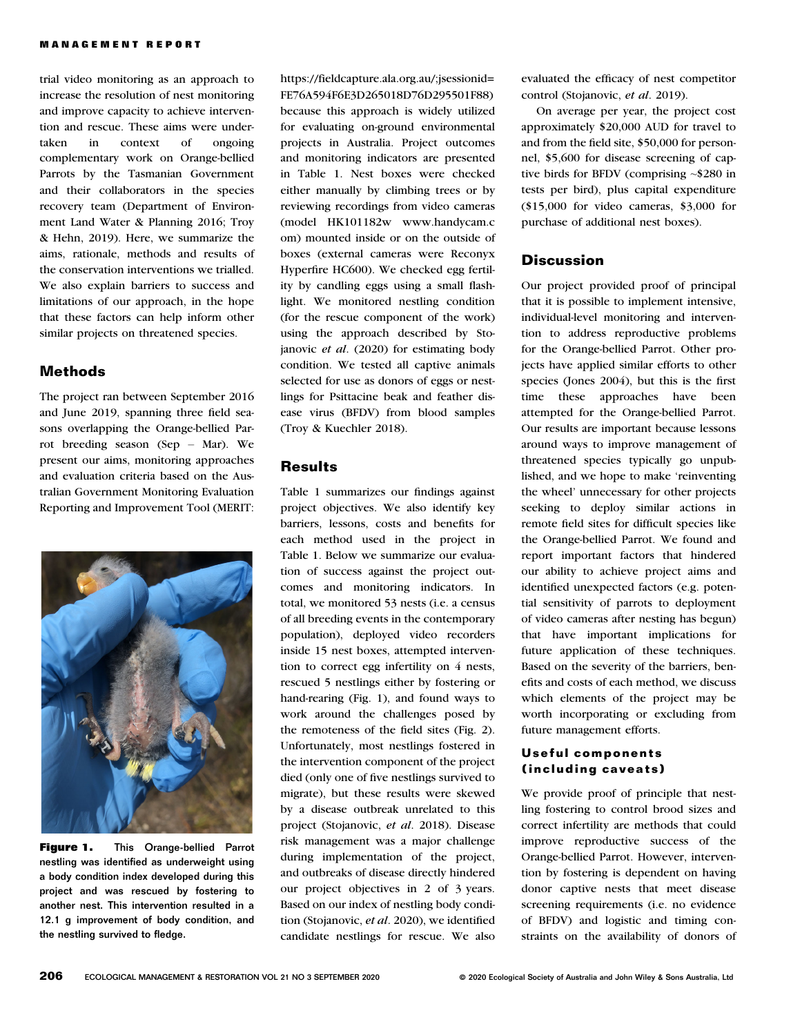trial video monitoring as an approach to increase the resolution of nest monitoring and improve capacity to achieve intervention and rescue. These aims were undertaken in context of ongoing complementary work on Orange-bellied Parrots by the Tasmanian Government and their collaborators in the species recovery team (Department of Environment Land Water & Planning 2016; Troy & Hehn, 2019). Here, we summarize the aims, rationale, methods and results of the conservation interventions we trialled. We also explain barriers to success and limitations of our approach, in the hope that these factors can help inform other similar projects on threatened species.

## **Methods**

The project ran between September 2016 and June 2019, spanning three field seasons overlapping the Orange-bellied Parrot breeding season (Sep – Mar). We present our aims, monitoring approaches and evaluation criteria based on the Australian Government Monitoring Evaluation Reporting and Improvement Tool (MERIT:



Figure 1. This Orange-bellied Parrot nestling was identified as underweight using a body condition index developed during this project and was rescued by fostering to another nest. This intervention resulted in a 12.1 g improvement of body condition, and the nestling survived to fledge.

[https://fieldcapture.ala.org.au/;jsessionid=](https://fieldcapture.ala.org.au/;jsessionid=FE76A594F6E3D265018D76D295501F88) [FE76A594F6E3D265018D76D295501F88](https://fieldcapture.ala.org.au/;jsessionid=FE76A594F6E3D265018D76D295501F88)) because this approach is widely utilized for evaluating on-ground environmental projects in Australia. Project outcomes and monitoring indicators are presented in Table 1. Nest boxes were checked either manually by climbing trees or by reviewing recordings from video cameras (model HK101182w [www.handycam.c](http://www.handycam.com) [om](http://www.handycam.com)) mounted inside or on the outside of boxes (external cameras were Reconyx Hyperfire HC600). We checked egg fertility by candling eggs using a small flashlight. We monitored nestling condition (for the rescue component of the work) using the approach described by Stojanovic et al. (2020) for estimating body condition. We tested all captive animals selected for use as donors of eggs or nestlings for Psittacine beak and feather disease virus (BFDV) from blood samples (Troy & Kuechler 2018).

#### **Results**

Table 1 summarizes our findings against project objectives. We also identify key barriers, lessons, costs and benefits for each method used in the project in Table 1. Below we summarize our evaluation of success against the project outcomes and monitoring indicators. In total, we monitored 53 nests (i.e. a census of all breeding events in the contemporary population), deployed video recorders inside 15 nest boxes, attempted intervention to correct egg infertility on 4 nests, rescued 5 nestlings either by fostering or hand-rearing (Fig. 1), and found ways to work around the challenges posed by the remoteness of the field sites (Fig. 2). Unfortunately, most nestlings fostered in the intervention component of the project died (only one of five nestlings survived to migrate), but these results were skewed by a disease outbreak unrelated to this project (Stojanovic, et al. 2018). Disease risk management was a major challenge during implementation of the project, and outbreaks of disease directly hindered our project objectives in 2 of 3 years. Based on our index of nestling body condition (Stojanovic, et al. 2020), we identified candidate nestlings for rescue. We also

evaluated the efficacy of nest competitor control (Stojanovic, et al. 2019).

On average per year, the project cost approximately \$20,000 AUD for travel to and from the field site, \$50,000 for personnel, \$5,600 for disease screening of captive birds for BFDV (comprising ~\$280 in tests per bird), plus capital expenditure (\$15,000 for video cameras, \$3,000 for purchase of additional nest boxes).

# **Discussion**

Our project provided proof of principal that it is possible to implement intensive, individual-level monitoring and intervention to address reproductive problems for the Orange-bellied Parrot. Other projects have applied similar efforts to other species (Jones 2004), but this is the first time these approaches have been attempted for the Orange-bellied Parrot. Our results are important because lessons around ways to improve management of threatened species typically go unpublished, and we hope to make 'reinventing the wheel' unnecessary for other projects seeking to deploy similar actions in remote field sites for difficult species like the Orange-bellied Parrot. We found and report important factors that hindered our ability to achieve project aims and identified unexpected factors (e.g. potential sensitivity of parrots to deployment of video cameras after nesting has begun) that have important implications for future application of these techniques. Based on the severity of the barriers, benefits and costs of each method, we discuss which elements of the project may be worth incorporating or excluding from future management efforts.

### Useful components (including caveats)

We provide proof of principle that nestling fostering to control brood sizes and correct infertility are methods that could improve reproductive success of the Orange-bellied Parrot. However, intervention by fostering is dependent on having donor captive nests that meet disease screening requirements (i.e. no evidence of BFDV) and logistic and timing constraints on the availability of donors of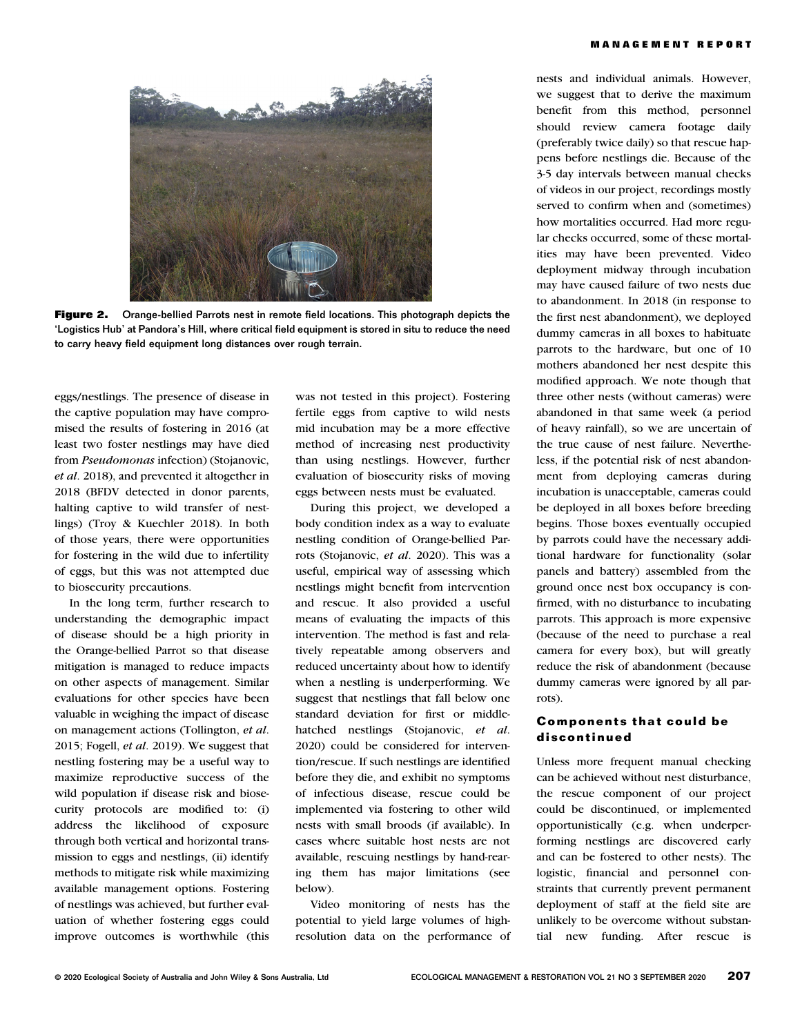

**Figure 2.** Orange-bellied Parrots nest in remote field locations. This photograph depicts the 'Logistics Hub' at Pandora's Hill, where critical field equipment is stored in situ to reduce the need to carry heavy field equipment long distances over rough terrain.

eggs/nestlings. The presence of disease in the captive population may have compromised the results of fostering in 2016 (at least two foster nestlings may have died from Pseudomonas infection) (Stojanovic, et al. 2018), and prevented it altogether in 2018 (BFDV detected in donor parents, halting captive to wild transfer of nestlings) (Troy & Kuechler 2018). In both of those years, there were opportunities for fostering in the wild due to infertility of eggs, but this was not attempted due to biosecurity precautions.

In the long term, further research to understanding the demographic impact of disease should be a high priority in the Orange-bellied Parrot so that disease mitigation is managed to reduce impacts on other aspects of management. Similar evaluations for other species have been valuable in weighing the impact of disease on management actions (Tollington, et al. 2015; Fogell, et al. 2019). We suggest that nestling fostering may be a useful way to maximize reproductive success of the wild population if disease risk and biosecurity protocols are modified to: (i) address the likelihood of exposure through both vertical and horizontal transmission to eggs and nestlings, (ii) identify methods to mitigate risk while maximizing available management options. Fostering of nestlings was achieved, but further evaluation of whether fostering eggs could improve outcomes is worthwhile (this was not tested in this project). Fostering fertile eggs from captive to wild nests mid incubation may be a more effective method of increasing nest productivity than using nestlings. However, further evaluation of biosecurity risks of moving eggs between nests must be evaluated.

During this project, we developed a body condition index as a way to evaluate nestling condition of Orange-bellied Parrots (Stojanovic, et al. 2020). This was a useful, empirical way of assessing which nestlings might benefit from intervention and rescue. It also provided a useful means of evaluating the impacts of this intervention. The method is fast and relatively repeatable among observers and reduced uncertainty about how to identify when a nestling is underperforming. We suggest that nestlings that fall below one standard deviation for first or middlehatched nestlings (Stojanovic, et al. 2020) could be considered for intervention/rescue. If such nestlings are identified before they die, and exhibit no symptoms of infectious disease, rescue could be implemented via fostering to other wild nests with small broods (if available). In cases where suitable host nests are not available, rescuing nestlings by hand-rearing them has major limitations (see below).

Video monitoring of nests has the potential to yield large volumes of highresolution data on the performance of

nests and individual animals. However, we suggest that to derive the maximum benefit from this method, personnel should review camera footage daily (preferably twice daily) so that rescue happens before nestlings die. Because of the 3-5 day intervals between manual checks of videos in our project, recordings mostly served to confirm when and (sometimes) how mortalities occurred. Had more regular checks occurred, some of these mortalities may have been prevented. Video deployment midway through incubation may have caused failure of two nests due to abandonment. In 2018 (in response to the first nest abandonment), we deployed dummy cameras in all boxes to habituate parrots to the hardware, but one of 10 mothers abandoned her nest despite this modified approach. We note though that three other nests (without cameras) were abandoned in that same week (a period of heavy rainfall), so we are uncertain of the true cause of nest failure. Nevertheless, if the potential risk of nest abandonment from deploying cameras during incubation is unacceptable, cameras could be deployed in all boxes before breeding begins. Those boxes eventually occupied by parrots could have the necessary additional hardware for functionality (solar panels and battery) assembled from the ground once nest box occupancy is confirmed, with no disturbance to incubating parrots. This approach is more expensive (because of the need to purchase a real camera for every box), but will greatly reduce the risk of abandonment (because dummy cameras were ignored by all parrots).

#### Components that could be discontinued

Unless more frequent manual checking can be achieved without nest disturbance, the rescue component of our project could be discontinued, or implemented opportunistically (e.g. when underperforming nestlings are discovered early and can be fostered to other nests). The logistic, financial and personnel constraints that currently prevent permanent deployment of staff at the field site are unlikely to be overcome without substantial new funding. After rescue is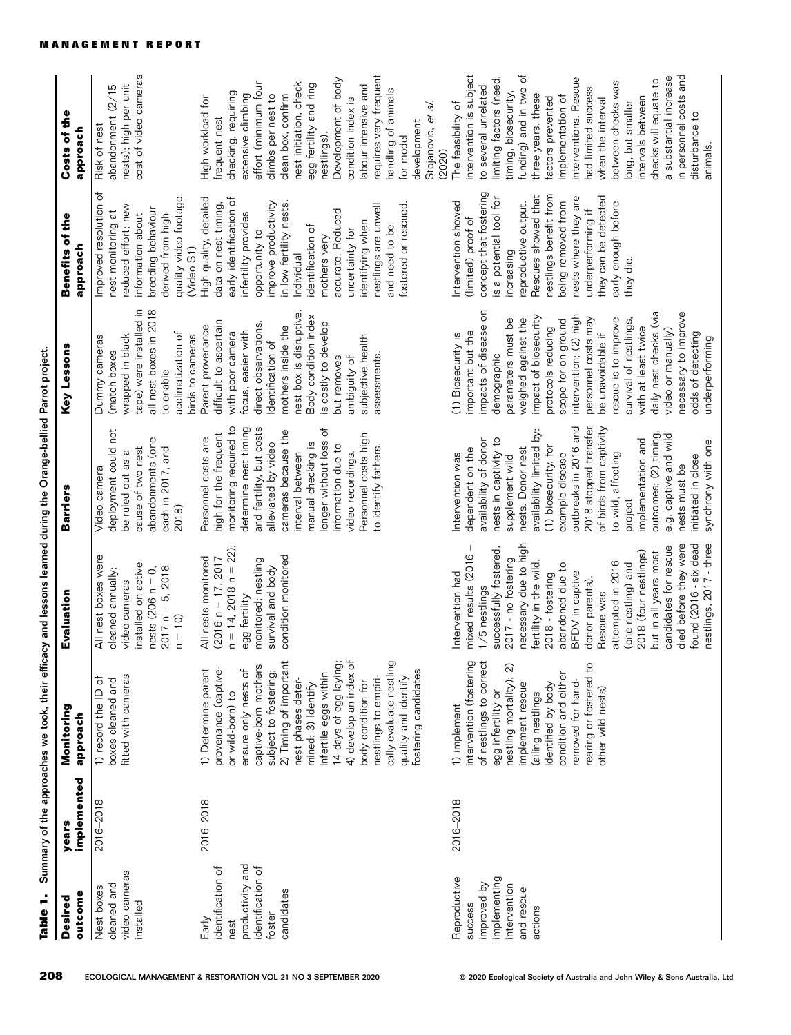| outcome<br>Desired                                                                                  | implemented<br>years | Monitoring<br>approach                                                                                                                                                                                                                                                                                                                                                                                               | Evaluation                                                                                                                                                                                                                                                                                                                                                                                                                                                  | <b>Barriers</b>                                                                                                                                                                                                                                                                                                                                                                                                                                          | Key Lessons                                                                                                                                                                                                                                                                                                                                                                                                                                                      | Benefits of the<br>approach                                                                                                                                                                                                                                                                                                                            | Costs of the<br>approach                                                                                                                                                                                                                                                                                                                                                                                                                                          |
|-----------------------------------------------------------------------------------------------------|----------------------|----------------------------------------------------------------------------------------------------------------------------------------------------------------------------------------------------------------------------------------------------------------------------------------------------------------------------------------------------------------------------------------------------------------------|-------------------------------------------------------------------------------------------------------------------------------------------------------------------------------------------------------------------------------------------------------------------------------------------------------------------------------------------------------------------------------------------------------------------------------------------------------------|----------------------------------------------------------------------------------------------------------------------------------------------------------------------------------------------------------------------------------------------------------------------------------------------------------------------------------------------------------------------------------------------------------------------------------------------------------|------------------------------------------------------------------------------------------------------------------------------------------------------------------------------------------------------------------------------------------------------------------------------------------------------------------------------------------------------------------------------------------------------------------------------------------------------------------|--------------------------------------------------------------------------------------------------------------------------------------------------------------------------------------------------------------------------------------------------------------------------------------------------------------------------------------------------------|-------------------------------------------------------------------------------------------------------------------------------------------------------------------------------------------------------------------------------------------------------------------------------------------------------------------------------------------------------------------------------------------------------------------------------------------------------------------|
| video cameras<br>cleaned and<br>Nest boxes<br>installed                                             | $2016 - 2018$        | fitted with cameras<br>1) record the ID of<br>boxes cleaned and                                                                                                                                                                                                                                                                                                                                                      | All nest boxes were<br>installed on active<br>$2017 n = 5, 2018$<br>nests $(206 n = 0,$<br>cleaned annually;<br>video cameras<br>$n = 10$                                                                                                                                                                                                                                                                                                                   | deployment could not<br>abandonments (one<br>cause of two nest<br>each in 2017, and<br>be ruled out as a<br>Video camera<br>2018)                                                                                                                                                                                                                                                                                                                        | tape) were installed in<br>all nest boxes in 2018<br>acclimatization of<br>wrapped in black<br>birds to cameras<br>Dummy cameras<br>(match boxes<br>to enable                                                                                                                                                                                                                                                                                                    | Improved resolution of<br>quality video footage<br>reduced effort; new<br>breeding behaviour<br>nest monitoring at<br>derived from high-<br>information about<br>(Video S1)                                                                                                                                                                            | cost of video cameras<br>nests); high per unit<br>abandonment (2/15<br>Risk of nest                                                                                                                                                                                                                                                                                                                                                                               |
| productivity and<br>identification of<br>identification of<br>candidates<br>foster<br>Early<br>nest | 2016-2018            | 2) Timing of important<br>14 days of egg laying;<br>4) develop an index of<br>cally evaluate nestling<br>captive-born mothers<br>provenance (captive-<br>ensure only nests of<br>1) Determine parent<br>fostering candidates<br>subject to fostering;<br>infertile eggs within<br>nestlings to empiri-<br>quality and identify<br>nest phases deter-<br>body condition for<br>mined; 3) Identify<br>or wild-born) to | $n = 14$ , 2018 $n = 22$ )<br>condition monitored<br>All nests monitored<br>$(2016 n = 17, 2017)$<br>monitored; nestling<br>survival and body<br>egg fertility                                                                                                                                                                                                                                                                                              | monitoring required to<br>and fertility, but costs<br>determine nest timing<br>Ⴆ<br>cameras because the<br>high for the frequent<br>Personnel costs high<br>Personnel costs are<br>onger without loss<br>alleviated by video<br>manual checking is<br>information due to<br>to identify fathers.<br>video recordings.<br>interval between                                                                                                                | nest box is disruptive<br>Body condition index<br>difficult to ascertain<br>is costly to develop<br>direct observations.<br>mothers inside the<br>Parent provenance<br>ocus, easier with<br>with poor camera<br>subjective health<br>dentification of<br>ambiguity of<br>assessments<br>but removes                                                                                                                                                              | High quality, detailed<br>early identification of<br>data on nest timing,<br>improve productivity<br>in low fertility nests<br>fostered or rescued.<br>nestlings are unwell<br>accurate. Reduced<br>infertility provides<br>identifying when<br>identification of<br>and need to be<br>uncertainty for<br>opportunity to<br>mothers very<br>Individual | requires very frequent<br>Development of body<br>effort (minimum four<br>nest initiation, check<br>egg fertility and ring<br>abour intensive and<br>handling of animals<br>checking, requiring<br>extensive climbing<br>climbs per nest to<br>clean box, confirm<br>High workload for<br>condition index is<br>Stojanovic, et al.<br>frequent nest<br>development<br>nestlings).<br>for model<br>(2020)                                                           |
| implementing<br>Reproductive<br>improved by<br>intervention<br>and rescue<br>success<br>actions     | 2016-2018            | intervention (fostering<br>of nestlings to correct<br>rearing or fostered to<br>nestling mortality); 2)<br>condition and either<br>removed for hand-<br>implement rescue<br>identified by body<br>other wild nests)<br>egg infertility or<br>(ailing nestlings<br>1) implement                                                                                                                                       | necessary due to high<br>died before they were<br>nestlings, 2017 - three<br>found (2016 - six dead<br>candidates for rescue<br>successfully fostered,<br>but in all years most<br>2018 (four nestlings)<br>mixed results (2016<br>2017 - no fostering<br>fertility in the wild,<br>attempted in 2016<br>(one nestling) and<br>abandoned due to<br>2018 - fostering<br>BFDV in captive<br>ntervention had<br>donor parents).<br>1/5 nestlings<br>Rescue was | outbreaks in 2016 and<br>2018 stopped transfer<br>of birds from captivity<br>availability limited by:<br>outcomes; (2) timing,<br>e.g. captive and wild<br>nests in captivity to<br>implementation and<br>availability of donor<br>synchrony with one<br>(1) biosecurity, for<br>nests. Donor nest<br>dependent on the<br>Intervention was<br>to wild, affecting<br>example disease<br>supplement wild<br>initiated in close<br>nests must be<br>project | impacts of disease on<br>daily nest checks (via<br>necessary to improve<br>intervention; (2) high<br>impact of biosecurity<br>personnel costs may<br>weighed against the<br>rescue is to improve<br>parameters must be<br>scope for on-ground<br>survival of nestlings<br>protocols reducing<br>with at least twice<br>video or manually)<br>important but the<br>be unavoidable if<br>odds of detecting<br>(1) Biosecurity is<br>underperforming<br>demographic | concept that fostering<br>Rescues showed that<br>nestlings benefit from<br>is a potential tool for<br>they can be detected<br>nests where they are<br>Intervention showed<br>reproductive output.<br>being removed from<br>early enough before<br>underperforming if<br>(limited) proof of<br>increasing<br>they die.                                  | funding) and in two of<br>intervention is subject<br>in personnel costs and<br>a substantial increase<br>limiting factors (need,<br>interventions. Rescue<br>checks will equate to<br>between checks was<br>to several unrelated<br>had limited success<br>timing, biosecurity,<br>three years, these<br>implementation of<br>factors prevented<br>intervals between<br>when the interval<br>The feasibility of<br>long, but smaller<br>disturbance to<br>animals |

MANAGEMENT REPORT

Table 1. Summary of the approaches we took, their efficacy and lessons learned during the Orange-bellied Parrot project.

Table 1. Summary of the approaches we took, their efficacy and lessons learned during the Orange-bellied Parrot project.

208 ECOLOGICAL MANAGEMENT & RESTORATION VOL 21 NO 3 SEPTEMBER 2020 <sup>©</sup> 2020 Ecological Society of Australia and John Wiley & Sons Australia, Ltd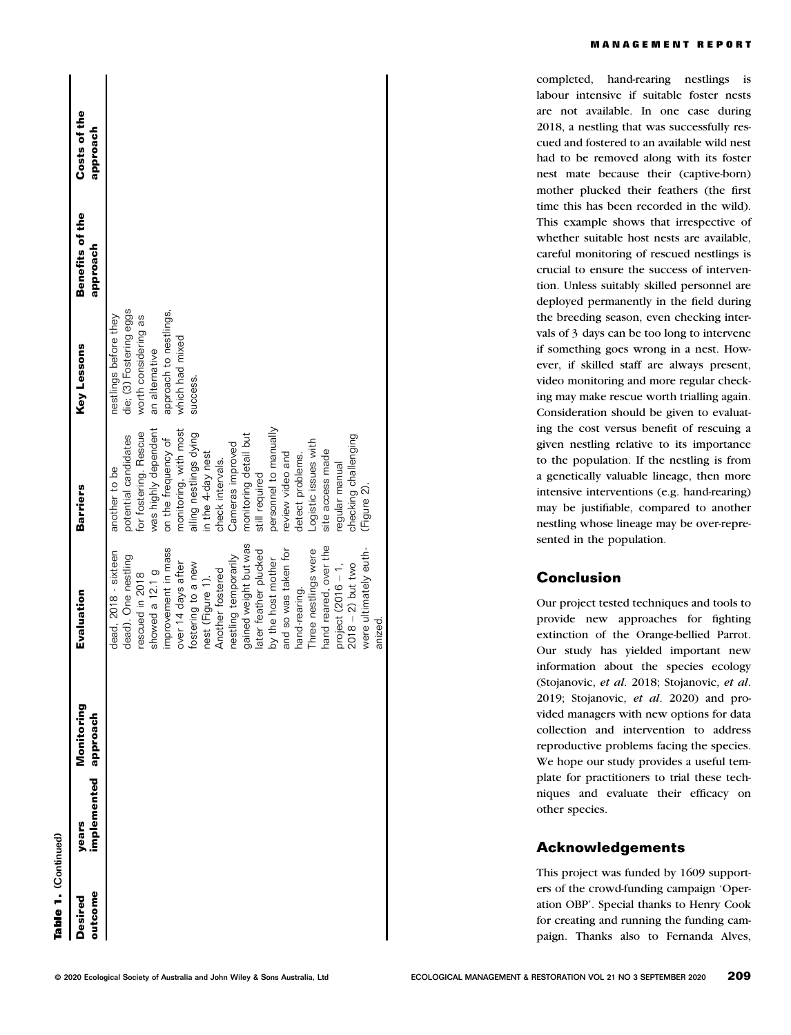| t |
|---|
|   |
|   |
|   |
|   |
|   |
|   |
|   |
|   |
|   |
|   |
|   |
|   |
|   |
|   |
|   |
|   |

| outcome<br>Desired | implemented approach<br>years | Monitoring | Evaluation            | <b>Barriers</b>        | Key Lessons             | Benefits of the<br>qoroach | Costs of the<br>upproach |  |
|--------------------|-------------------------------|------------|-----------------------|------------------------|-------------------------|----------------------------|--------------------------|--|
|                    |                               |            | dead, 2018 - sixteen  | another to be          | nestlings before they   |                            |                          |  |
|                    |                               |            | dead). One nestling   | potential candidates   | die; (3) Fostering eggs |                            |                          |  |
|                    |                               |            | rescued in 2018       | for fostering. Rescue  | worth considering as    |                            |                          |  |
|                    |                               |            | showed a 12.1 g       | was highly dependent   | an alternative          |                            |                          |  |
|                    |                               |            | improvement in mass   | on the frequency of    | approach to nestlings,  |                            |                          |  |
|                    |                               |            | over 14 days after    | monitoring, with most  | which had mixed         |                            |                          |  |
|                    |                               |            | fostering to a new    | ailing nestlings dying | success.                |                            |                          |  |
|                    |                               |            | nest (Figure 1).      | in the 4-day nest      |                         |                            |                          |  |
|                    |                               |            | Another fostered      | check intervals.       |                         |                            |                          |  |
|                    |                               |            | nestling temporarily  | Cameras improved       |                         |                            |                          |  |
|                    |                               |            | gained weight but was | monitoring detail but  |                         |                            |                          |  |
|                    |                               |            | later feather plucked | still required         |                         |                            |                          |  |
|                    |                               |            | by the host mother    | personnel to manually  |                         |                            |                          |  |
|                    |                               |            | and so was taken for  | review video and       |                         |                            |                          |  |
|                    |                               |            | hand-rearing.         | detect problems.       |                         |                            |                          |  |
|                    |                               |            | Three nestlings were  | Logistic issues with   |                         |                            |                          |  |
|                    |                               |            | hand reared, over the | site access made       |                         |                            |                          |  |
|                    |                               |            | project $(2016 - 1,$  | regular manual         |                         |                            |                          |  |
|                    |                               |            | $2018 - 2$ ) but two  | checking challenging   |                         |                            |                          |  |
|                    |                               |            | were ultimately euth- | (Figure 2).            |                         |                            |                          |  |
|                    |                               |            | anized.               |                        |                         |                            |                          |  |

completed, hand-rearing nestlings is labour intensive if suitable foster nests are not available. In one case during 2018, a nestling that was successfully rescued and fostered to an available wild nest had to be removed along with its foster nest mate because their (captive-born) mother plucked their feathers (the first time this has been recorded in the wild). This example shows that irrespective of whether suitable host nests are available, careful monitoring of rescued nestlings is crucial to ensure the success of intervention. Unless suitably skilled personnel are deployed permanently in the field during the breeding season, even checking intervals of 3 days can be too long to intervene if something goes wrong in a nest. However, if skilled staff are always present, video monitoring and more regular checking may make rescue worth trialling again. Consideration should be given to evaluating the cost versus benefit of rescuing a given nestling relative to its importance to the population. If the nestling is from a genetically valuable lineage, then more intensive interventions (e.g. hand-rearing) may be justifiable, compared to another nestling whose lineage may be over-represented in the population.

# Conclusion

Our project tested techniques and tools to provide new approaches for fighting extinction of the Orange-bellied Parrot. Our study has yielded important new information about the species ecology (Stojanovic, et al. 2018; Stojanovic, et al. 2019; Stojanovic, et al. 2020) and provided managers with new options for data collection and intervention to address reproductive problems facing the species. We hope our study provides a useful template for practitioners to trial these techniques and evaluate their efficacy on other species.

# Acknowledgements

This project was funded by 1609 supporters of the crowd-funding campaign 'Operation OBP'. Special thanks to Henry Cook for creating and running the funding campaign. Thanks also to Fernanda Alves,